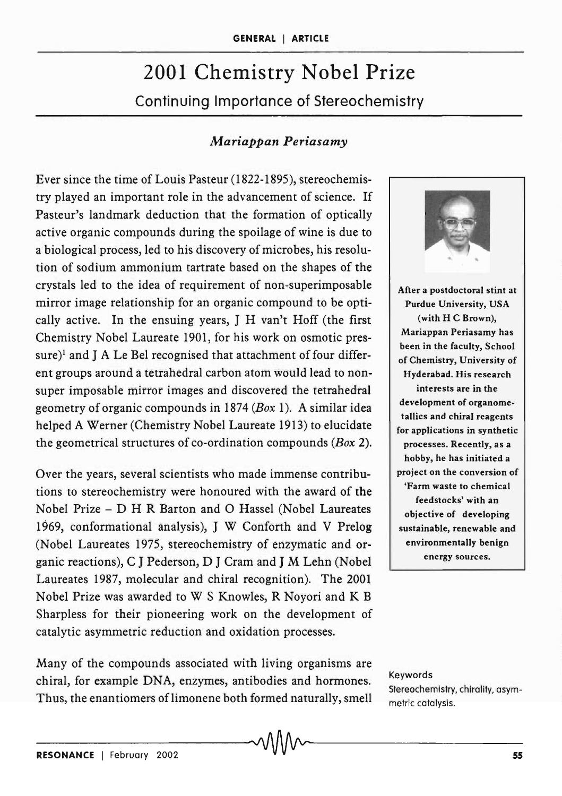# 2001 Chemistry Nobel Prize Continuing Importance of Stereochemistry

## *Mariappan Periasamy*

Ever since the time of Louis Pasteur (1822-1895), stereochemistry played an important role in the advancement of science. If Pasteur's landmark deduction that the formation of optically active organic compounds during the spoilage of wine is due to a biological process, led to his discovery of microbes, his resolution of sodium ammonium tartrate based on the shapes of the crystals led to the idea of requirement of non-superimposable mirror image relationship for an organic compound to be optically active. In the ensuing years, J H van't Hoff (the first Chemistry Nobel Laureate 1901, for his work on osmotic pressure)<sup>1</sup> and J A Le Bel recognised that attachment of four different groups around a tetrahedral carbon atom would lead to nonsuper imposable mirror images and discovered the tetrahedral geometry of organic compounds in 1874 *(Box* 1). A similar idea helped A Werner (Chemistry Nobel Laureate 1913) to elucidate the geometrical structures of co-ordination compounds *(Box 2).* 

Over the years, several scientists who made immense contributions to stereochemistry were honoured with the award of the Nobel Prize - D H R Barton and 0 Hassel (Nobel Laureates 1969, conformational analysis), J W Conforth and V Prelog (Nobel Laureates 1975, stereochemistry of enzymatic and organic reactions), C J Pederson, D J Cram and J M Lehn (Nobel Laureates 1987, molecular and chiral recognition). The 2001 Nobel Prize was awarded to W S Knowles, R Noyori and K B Sharpless for their pioneering work on the development of catalytic asymmetric reduction and oxidation processes.

Many of the compounds associated with living organisms are chiral, for example DNA, enzymes, antibodies and hormones. Thus, the enantiomers of limonene both formed naturally, smell



Keywords Stereochemistry. chirality. asymmetric catalysis.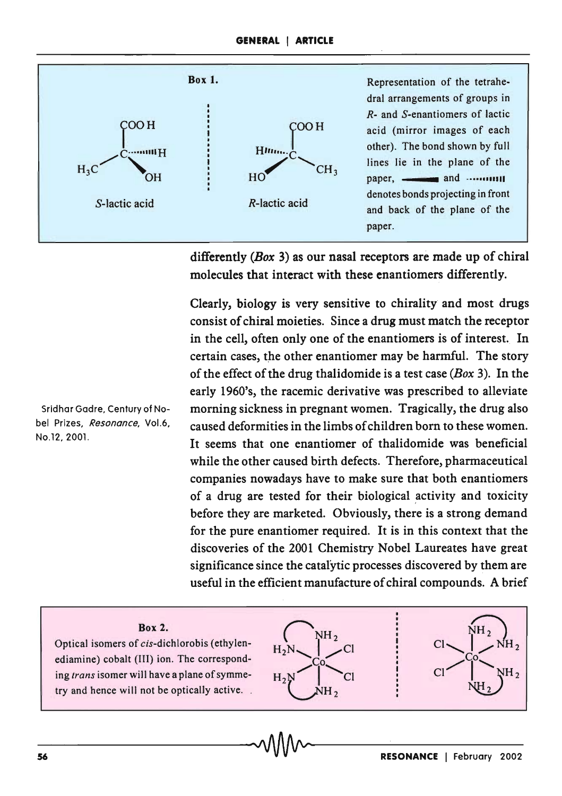

differently *(Box* 3) as our nasal receptors are made up of chiral molecules that interact with these enantiomers differently.

Clearly, biology is very sensitive to chirality and most drugs consist of chiral moieties. Since a drug must match the receptor in the cell, often only one of the enantiomers is of interest. In certain cases, the other enantiomer may be harmful. The story of the effect of the drug thalidomide is a test case *(Box* 3). In the early 1960's, the racemic derivative was prescribed to alleviate morning sickness in pregnant women. Tragically, the drug also caused deformities in the limbs of children born to these women. It seems that one enantiomer of thalidomide was beneficial while the other caused birth defects. Therefore, pharmaceutical companies nowadays have to make sure that both enantiomers of a drug are tested for their biological activity and toxicity before they are marketed. Obviously, there is a strong demand for the pure enantiomer required. It is in this context that the discoveries of the 2001 Chemistry Nobel Laureates have great significance since the catalytic processes discovered by them are useful in the efficient manufacture of chiral compounds. A brief

Sridhar Gadre, Century of Nobel Prizes, *Resonance,* Vo1.6, NO.12,2001.

### Box 2.

Optical isomers of cis-dichlorobis (ethylenediamine) cobalt (III) ion. The corresponding *trans* isomer will have a plane of symmetry and hence will not be optically active. .



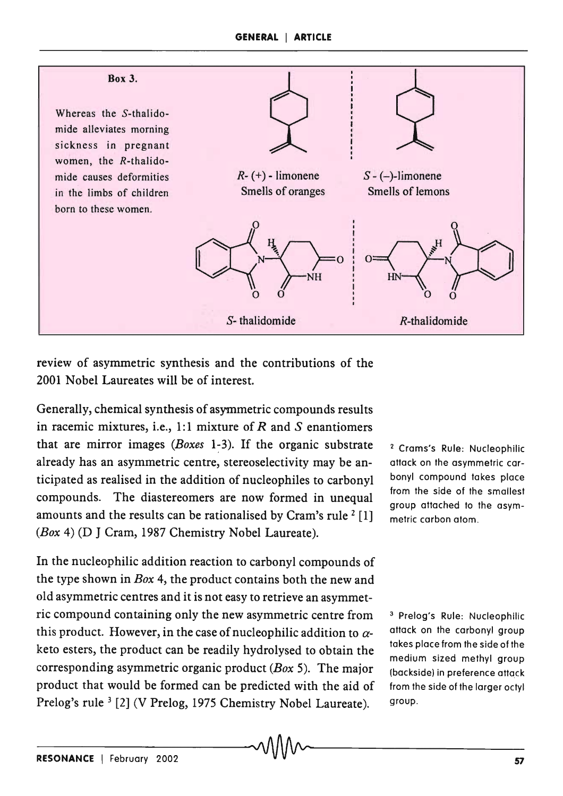

review of asymmetric synthesis and the contributions of the 2001 Nobel Laureates will be of interest.

Generally, chemical synthesis of asymmetric compounds results in racemic mixtures, i.e., 1:1 mixture of  $R$  and  $S$  enantiomers that are mirror images *(Boxes* 1~3). If the organic substrate already has an asymmetric centre, stereoselectivity may be anticipated as realised in the addition of nudeophiles to carbonyl compounds. The diastereomers are now formed in unequal amounts and the results can be rationalised by Cram's rule  $2$  [1] *(Box* 4) (D J Cram, 1987 Chemistry Nobel Laureate).

In the nucleophilic addition reaction to carbonyl compounds of the type shown in *Box* 4, the product contains both the new and old asymmetric centres and it is not easy to retrieve an asymmetric compound containing only the new asymmetric centre from this product. However, in the case of nucleophilic addition to  $\alpha$ keto esters, the product can be readily hydrolysed to obtain the corresponding asymmetric organic product *(Box* 5). The major product that would be formed can be predicted with the aid of Prelog's rule <sup>3</sup> [2] (V Prelog, 1975 Chemistry Nobel Laureate).

<sup>2</sup> Crams's Rule: Nucleophilic aftack on the asymmetric carbonyl compound takes place from the side of the smallest group attached to the asymmetric carbon atom.

<sup>3</sup> Prelog's Rule: Nucleophilic attack on the carbonyl group takes place from the side of the medium sized methyl group (backside) in preference attack from the side of the larger octyl group.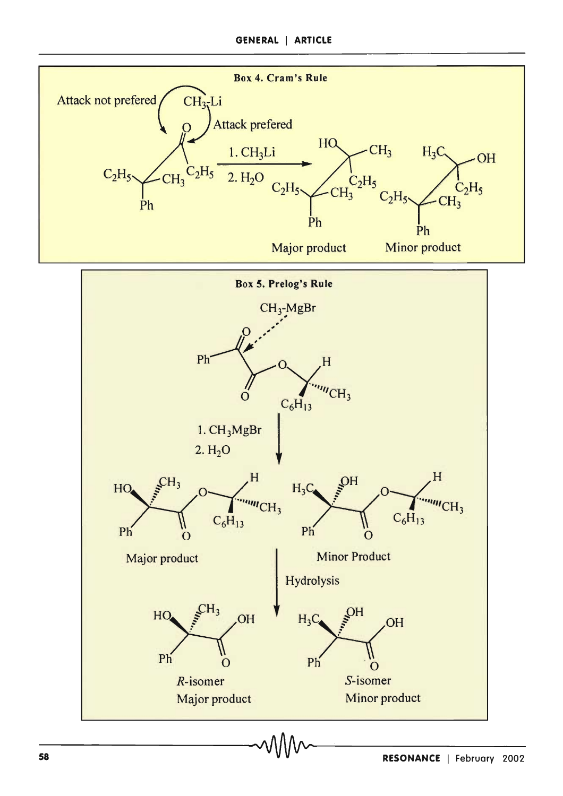

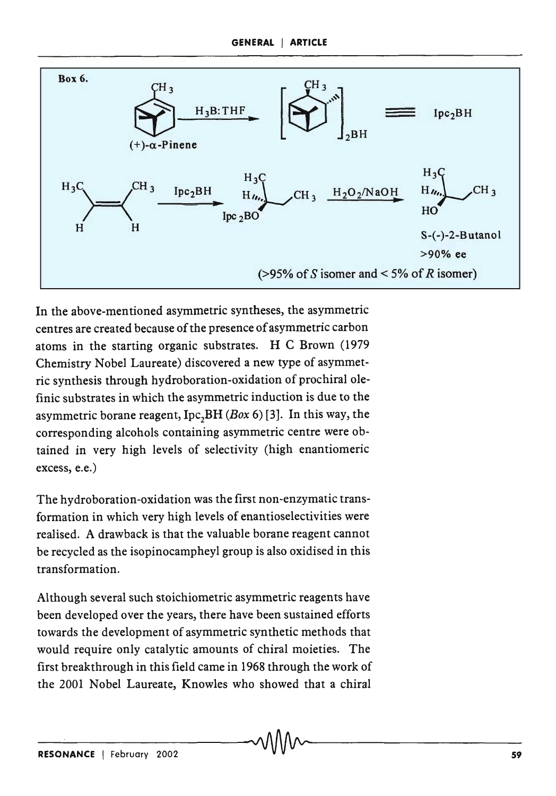

In the above-mentioned asymmetric syntheses, the asymmetric centres are created because of the presence of asymmetric carbon atoms in the starting organic substrates. H C Brown (1979 Chemistry Nobel Laureate) discovered a new type of asymmetric synthesis through hydroboration-oxidation of prochiral olefinic substrates in which the asymmetric induction is due to the asymmetric borane reagent, Ipc<sub>2</sub>BH *(Box* 6) [3]. In this way, the corresponding alcohols containing asymmetric centre were obtained in very high levels of selectivity (high enantiomeric excess, e.e.)

The hydroboration-oxidation was the first non-enzymatic transformation in which very high levels of enantioselectivities were realised. A drawback is that the valuable borane reagent cannot be recycled as the isopinocampheyl group is also oxidised in this transformation.

Although several such stoichiometric asymmetric reagents have been developed over the years, there have been sustained efforts towards the development of asymmetric synthetic methods that would require only catalytic amounts of chiral moieties. The first breakthrough in this field came in 1968 through the work of the 2001 Nobel Laureate, Knowles who showed that a chiral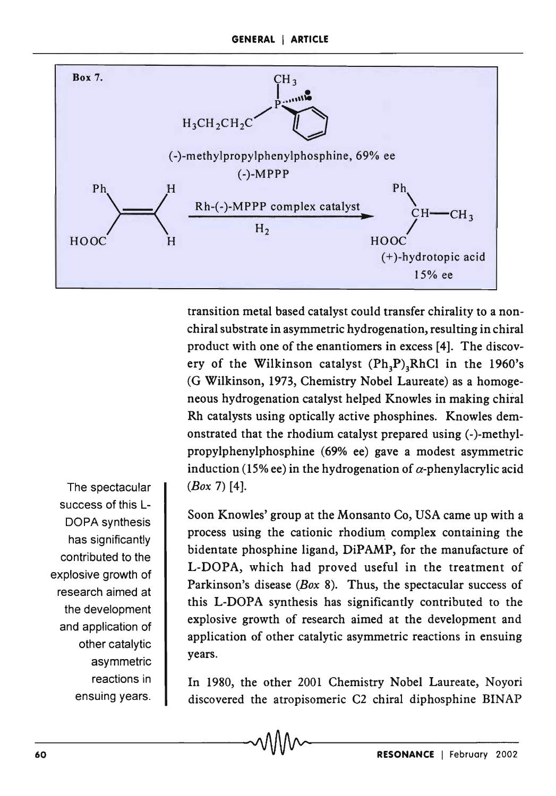

transition metal based catalyst could transfer chirality to a nonchiral substrate in asymmetric hydrogenation, resulting in chiral product with one of the enantiomers in excess [4]. The discovery of the Wilkinson catalyst  $(Ph_3P)_3RhCl$  in the 1960's (G Wilkinson, 1973, Chemistry Nobel Laureate) as a homogeneous hydrogenation catalyst helped Knowles in making chiral Rh catalysts using optically active phosphines. Knowles demonstrated that the rhodium catalyst prepared using (-)-methylpropylphenylphosphine (69% ee) gave a modest asymmetric induction (15% ee) in the hydrogenation of  $\alpha$ -phenylacrylic acid *(Box* 7) [4].

Soon Knowles' group at the Monsanto Co, USA came up with a process using the cationic rhodium, complex containing the bidentate phosphine ligand, DiPAMP, for the manufacture of L-DOPA, which had proved useful in the treatment of Parkinson's disease *(Box* 8). Thus, the spectacular success of this L-DOPA synthesis has significantly contributed to the explosive growth of research aimed at the development and application of other catalytic asymmetric reactions in ensuing years.

In 1980, the other 2001 Chemistry Nobel Laureate, Noyori discovered the atropisomeric C2 chiral diphosphine BINAP

The spectacular success of this L-DOPA synthesis has significantly contributed to the explosive growth of research aimed at the development and application of other catalytic asymmetric reactions in ensuing years.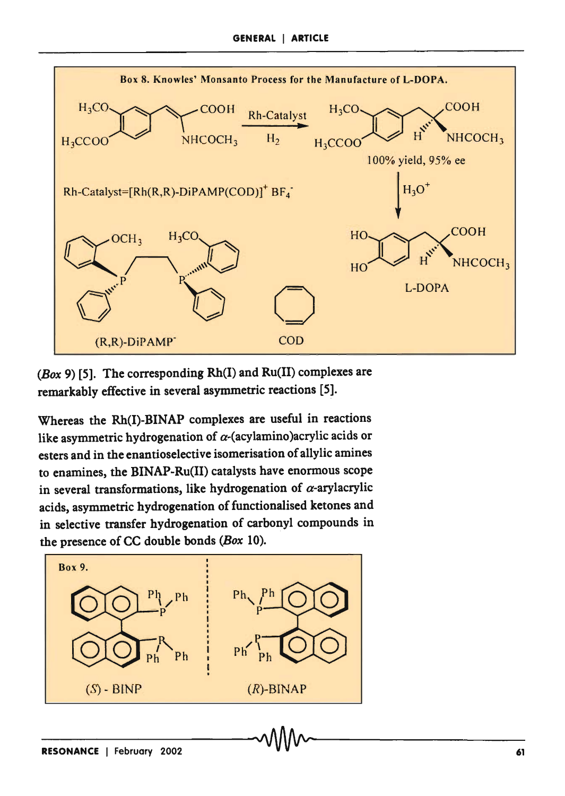

(Box 9) [5]. The corresponding  $Rh(I)$  and  $Ru(II)$  complexes are remarkably effective in several asymmetric reactions [5].

Whereas the Rh(I)-BINAP complexes are useful in reactions like asymmetric hydrogenation of  $\alpha$ -(acylamino)acrylic acids or esters and in the enantioselective isomerisation of allylic amines to enamines, the BINAP-Ru(II) catalysts have enormous scope in several transformations, like hydrogenation of  $\alpha$ -arylacrylic acids, asymmetric hydrogenation of functionalised ketones and in selective transfer hydrogenation of carbonyl compounds in the presence of CC double bonds (Box 10).

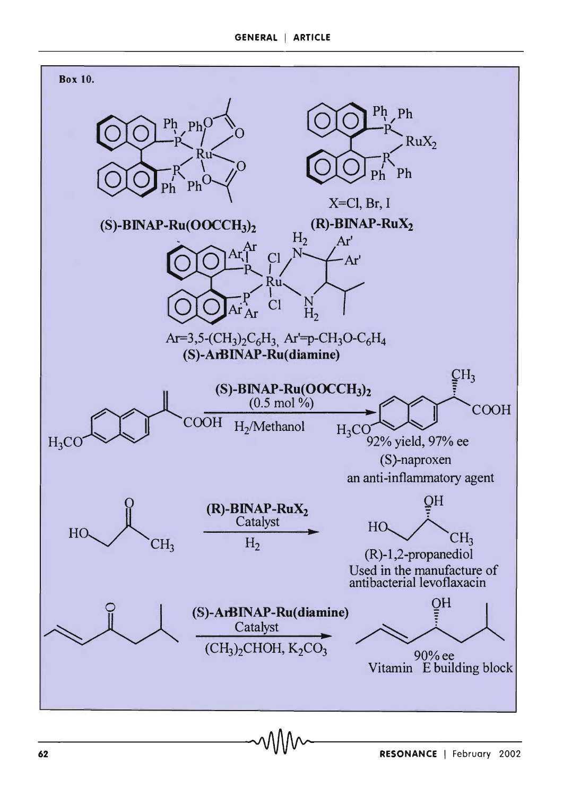#### GENERAL I ARTICLE

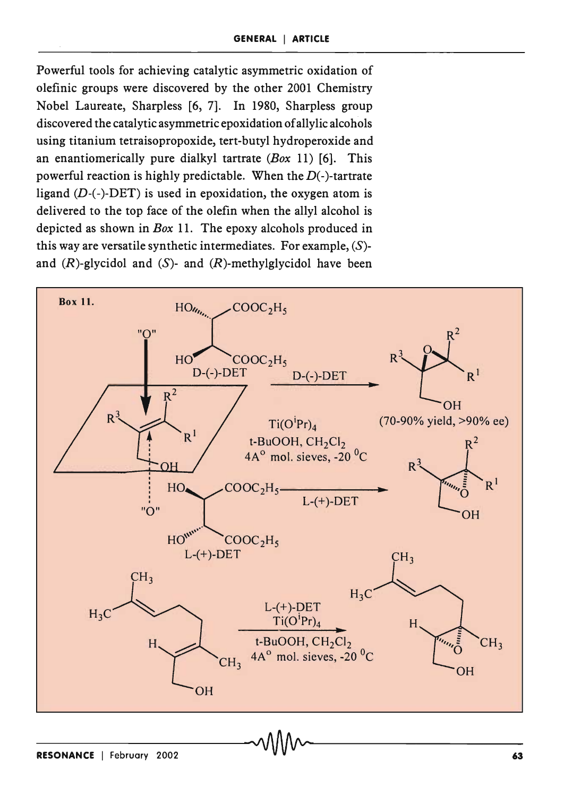Powerful tools for achieving catalytic asymmetric oxidation of olefinic groups were discovered by the other 2001 Chemistry Nobel Laureate, Sharpless [6, 7]. In 1980, Sharpless group discovered the catalytic asymmetric epoxidation of allylic alcohols using titanium tetraisopropoxide, tert-butyl hydroperoxide and an enantiomerically pure dialkyl tartrate *(Box* 11) [6]. This powerful reaction is highly predictable. When the  $D(-)$ -tartrate ligand  $(D-(-)$ -DET) is used in epoxidation, the oxygen atom is delivered to the top face of the olefin when the allyl alcohol is depicted as shown in *Box* 11. The epoxy alcohols produced in this way are versatile synthetic intermediates. For example,  $(S)$ and  $(R)$ -glycidol and  $(S)$ - and  $(R)$ -methylglycidol have been

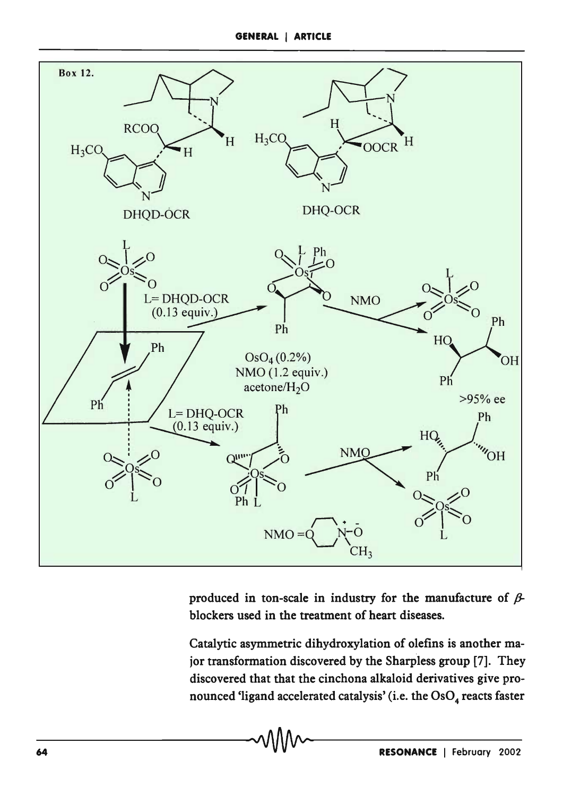

produced in ton-scale in industry for the manufacture of  $\beta$ blockers used in the treatment of heart diseases.

Catalytic asymmetric dihydroxylation of olefins is another major transformation discovered by the Sharpless group [7]. They discovered that that the cinchona alkaloid derivatives give pronounced 'ligand accelerated catalysis' (i.e. the OsO<sub>4</sub> reacts faster